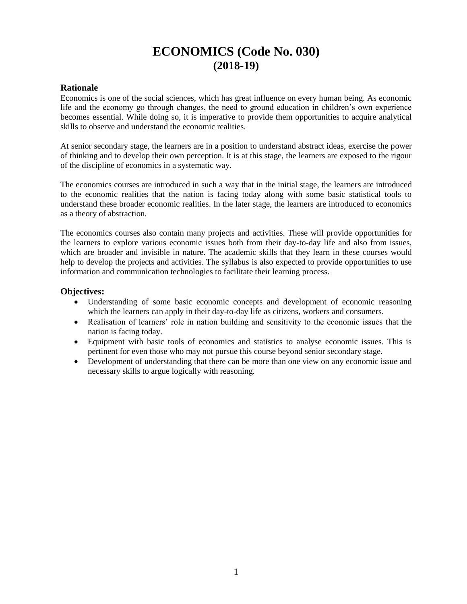# **ECONOMICS (Code No. 030) (2018-19)**

### **Rationale**

Economics is one of the social sciences, which has great influence on every human being. As economic life and the economy go through changes, the need to ground education in children's own experience becomes essential. While doing so, it is imperative to provide them opportunities to acquire analytical skills to observe and understand the economic realities.

At senior secondary stage, the learners are in a position to understand abstract ideas, exercise the power of thinking and to develop their own perception. It is at this stage, the learners are exposed to the rigour of the discipline of economics in a systematic way.

The economics courses are introduced in such a way that in the initial stage, the learners are introduced to the economic realities that the nation is facing today along with some basic statistical tools to understand these broader economic realities. In the later stage, the learners are introduced to economics as a theory of abstraction.

The economics courses also contain many projects and activities. These will provide opportunities for the learners to explore various economic issues both from their day-to-day life and also from issues, which are broader and invisible in nature. The academic skills that they learn in these courses would help to develop the projects and activities. The syllabus is also expected to provide opportunities to use information and communication technologies to facilitate their learning process.

### **Objectives:**

- Understanding of some basic economic concepts and development of economic reasoning which the learners can apply in their day-to-day life as citizens, workers and consumers.
- Realisation of learners' role in nation building and sensitivity to the economic issues that the nation is facing today.
- Equipment with basic tools of economics and statistics to analyse economic issues. This is pertinent for even those who may not pursue this course beyond senior secondary stage.
- Development of understanding that there can be more than one view on any economic issue and necessary skills to argue logically with reasoning.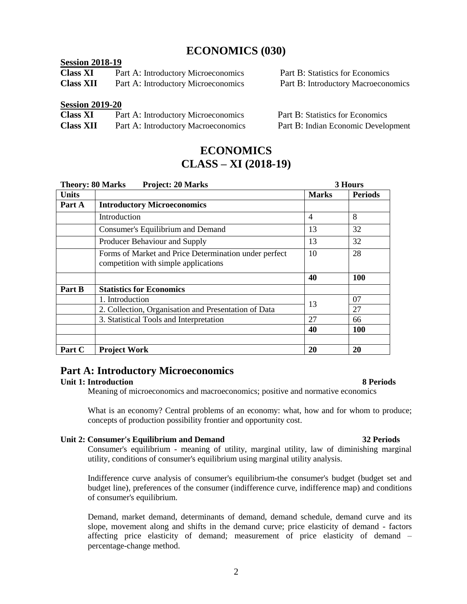# **ECONOMICS (030)**

# **Session 2018-19 Class XI** Part A: Introductory Microeconomics Part B: Statistics for Economics **Class XII** Part A: Introductory Microeconomics Part B: Introductory Macroeconomics **Session 2019-20**

| <b>Class XI</b>  | Part A: Introductory Microeconomics |
|------------------|-------------------------------------|
| <b>Class XII</b> | Part A: Introductory Macroeconomics |

Part B: Statistics for Economics Part B: Indian Economic Development

# **ECONOMICS CLASS – XI (2018-19)**

| <b>Theory: 80 Marks</b> | <b>Project: 20 Marks</b>                                                                      | 3 Hours        |                |  |
|-------------------------|-----------------------------------------------------------------------------------------------|----------------|----------------|--|
| <b>Units</b>            |                                                                                               | <b>Marks</b>   | <b>Periods</b> |  |
| Part A                  | <b>Introductory Microeconomics</b>                                                            |                |                |  |
|                         | Introduction                                                                                  | $\overline{4}$ | 8              |  |
|                         | Consumer's Equilibrium and Demand                                                             | 13             | 32             |  |
|                         | Producer Behaviour and Supply                                                                 | 13             | 32             |  |
|                         | Forms of Market and Price Determination under perfect<br>competition with simple applications | 10             | 28             |  |
|                         |                                                                                               | 40             | <b>100</b>     |  |
| Part B                  | <b>Statistics for Economics</b>                                                               |                |                |  |
|                         | 1. Introduction                                                                               | 13             | 07             |  |
|                         | 2. Collection, Organisation and Presentation of Data                                          |                | 27             |  |
|                         | 3. Statistical Tools and Interpretation                                                       | 27             | 66             |  |
|                         |                                                                                               | 40             | 100            |  |
|                         |                                                                                               |                |                |  |
| Part C                  | <b>Project Work</b>                                                                           | 20             | 20             |  |

## **Part A: Introductory Microeconomics**

### **Unit 1: Introduction 8 Periods**

Meaning of microeconomics and macroeconomics; positive and normative economics

What is an economy? Central problems of an economy: what, how and for whom to produce; concepts of production possibility frontier and opportunity cost.

### **Unit 2: Consumer's Equilibrium and Demand 32 Periods**

Consumer's equilibrium - meaning of utility, marginal utility, law of diminishing marginal utility, conditions of consumer's equilibrium using marginal utility analysis.

Indifference curve analysis of consumer's equilibrium-the consumer's budget (budget set and budget line), preferences of the consumer (indifference curve, indifference map) and conditions of consumer's equilibrium.

Demand, market demand, determinants of demand, demand schedule, demand curve and its slope, movement along and shifts in the demand curve; price elasticity of demand - factors affecting price elasticity of demand; measurement of price elasticity of demand – percentage-change method.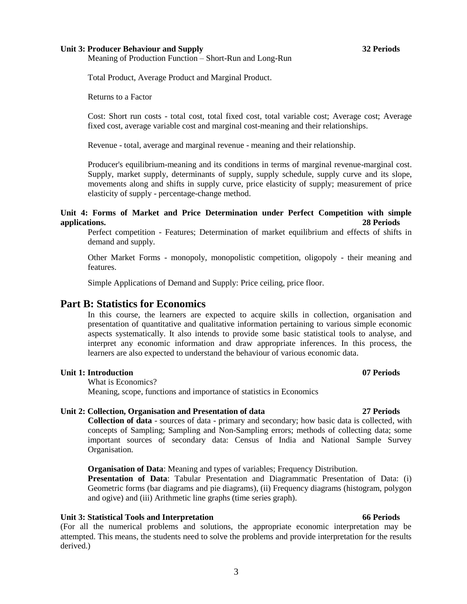### **Unit 3: Producer Behaviour and Supply 32 Periods**

Meaning of Production Function – Short-Run and Long-Run

Total Product, Average Product and Marginal Product.

Returns to a Factor

Cost: Short run costs - total cost, total fixed cost, total variable cost; Average cost; Average fixed cost, average variable cost and marginal cost-meaning and their relationships.

Revenue - total, average and marginal revenue - meaning and their relationship.

Producer's equilibrium-meaning and its conditions in terms of marginal revenue-marginal cost. Supply, market supply, determinants of supply, supply schedule, supply curve and its slope, movements along and shifts in supply curve, price elasticity of supply; measurement of price elasticity of supply - percentage-change method.

### **Unit 4: Forms of Market and Price Determination under Perfect Competition with simple applications. 28 Periods**

Perfect competition - Features; Determination of market equilibrium and effects of shifts in demand and supply.

Other Market Forms - monopoly, monopolistic competition, oligopoly - their meaning and features.

Simple Applications of Demand and Supply: Price ceiling, price floor.

### **Part B: Statistics for Economics**

In this course, the learners are expected to acquire skills in collection, organisation and presentation of quantitative and qualitative information pertaining to various simple economic aspects systematically. It also intends to provide some basic statistical tools to analyse, and interpret any economic information and draw appropriate inferences. In this process, the learners are also expected to understand the behaviour of various economic data.

### **Unit 1: Introduction 07 Periods**

What is Economics? Meaning, scope, functions and importance of statistics in Economics

### **Unit 2: Collection, Organisation and Presentation of data 27 Periods**

**Collection of data** - sources of data - primary and secondary; how basic data is collected, with concepts of Sampling; Sampling and Non-Sampling errors; methods of collecting data; some important sources of secondary data: Census of India and National Sample Survey Organisation.

**Organisation of Data**: Meaning and types of variables; Frequency Distribution. **Presentation of Data**: Tabular Presentation and Diagrammatic Presentation of Data: (i) Geometric forms (bar diagrams and pie diagrams), (ii) Frequency diagrams (histogram, polygon and ogive) and (iii) Arithmetic line graphs (time series graph).

### **Unit 3: Statistical Tools and Interpretation 66 Periods**

(For all the numerical problems and solutions, the appropriate economic interpretation may be attempted. This means, the students need to solve the problems and provide interpretation for the results derived.)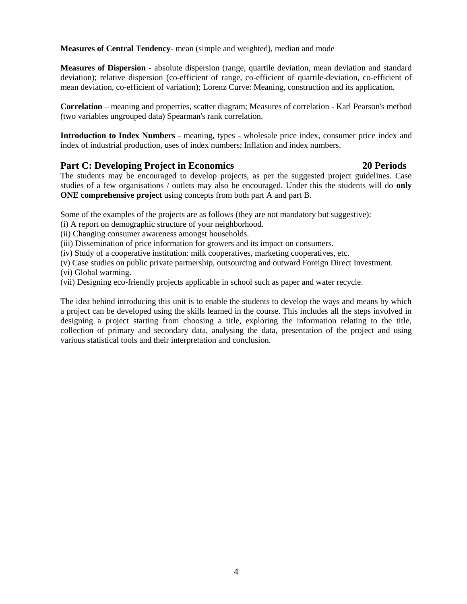**Measures of Central Tendency**- mean (simple and weighted), median and mode

**Measures of Dispersion** - absolute dispersion (range, quartile deviation, mean deviation and standard deviation); relative dispersion (co-efficient of range, co-efficient of quartile-deviation, co-efficient of mean deviation, co-efficient of variation); Lorenz Curve: Meaning, construction and its application.

**Correlation** – meaning and properties, scatter diagram; Measures of correlation - Karl Pearson's method (two variables ungrouped data) Spearman's rank correlation.

**Introduction to Index Numbers** - meaning, types - wholesale price index, consumer price index and index of industrial production, uses of index numbers; Inflation and index numbers.

### **Part C: Developing Project in Economics 20 Periods**

The students may be encouraged to develop projects, as per the suggested project guidelines. Case studies of a few organisations / outlets may also be encouraged. Under this the students will do **only ONE comprehensive project** using concepts from both part A and part B.

Some of the examples of the projects are as follows (they are not mandatory but suggestive):

- (i) A report on demographic structure of your neighborhood.
- (ii) Changing consumer awareness amongst households.

(iii) Dissemination of price information for growers and its impact on consumers.

(iv) Study of a cooperative institution: milk cooperatives, marketing cooperatives, etc.

(v) Case studies on public private partnership, outsourcing and outward Foreign Direct Investment.

(vi) Global warming.

(vii) Designing eco-friendly projects applicable in school such as paper and water recycle.

The idea behind introducing this unit is to enable the students to develop the ways and means by which a project can be developed using the skills learned in the course. This includes all the steps involved in designing a project starting from choosing a title, exploring the information relating to the title, collection of primary and secondary data, analysing the data, presentation of the project and using various statistical tools and their interpretation and conclusion.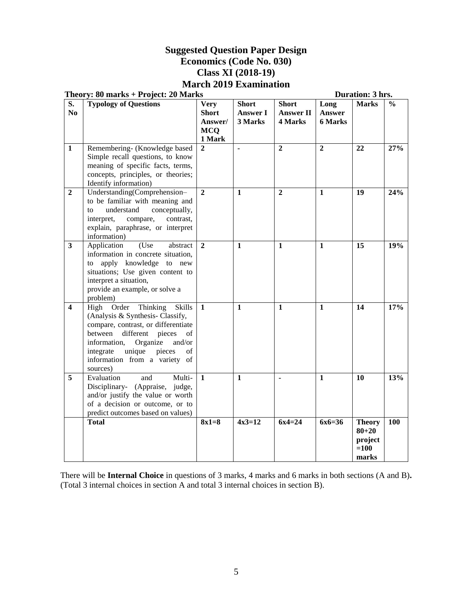## **Suggested Question Paper Design Economics (Code No. 030) Class XI (2018-19) March 2019 Examination**

|                | Theory: 80 marks + Project: 20 Marks                                                                                                                                                                                                                                         |                                                                |                                            |                                             | Duration: 3 hrs.                 |                                                          |               |  |
|----------------|------------------------------------------------------------------------------------------------------------------------------------------------------------------------------------------------------------------------------------------------------------------------------|----------------------------------------------------------------|--------------------------------------------|---------------------------------------------|----------------------------------|----------------------------------------------------------|---------------|--|
| S.<br>No       | <b>Typology of Questions</b>                                                                                                                                                                                                                                                 | <b>Very</b><br><b>Short</b><br>Answer/<br><b>MCQ</b><br>1 Mark | <b>Short</b><br><b>Answer I</b><br>3 Marks | <b>Short</b><br><b>Answer II</b><br>4 Marks | Long<br>Answer<br><b>6 Marks</b> | <b>Marks</b>                                             | $\frac{0}{0}$ |  |
| $\mathbf{1}$   | Remembering- (Knowledge based<br>Simple recall questions, to know<br>meaning of specific facts, terms,<br>concepts, principles, or theories;<br>Identify information)                                                                                                        | $\mathbf{2}$                                                   | $\blacksquare$                             | $\overline{2}$                              | $\overline{2}$                   | 22                                                       | 27%           |  |
| $\overline{2}$ | Understanding(Comprehension-<br>to be familiar with meaning and<br>understand<br>conceptually,<br>to<br>interpret,<br>compare,<br>contrast,<br>explain, paraphrase, or interpret<br>information)                                                                             | $\overline{2}$                                                 | $\mathbf{1}$                               | $\overline{2}$                              | $\mathbf{1}$                     | 19                                                       | 24%           |  |
| 3 <sup>1</sup> | (Use<br>Application<br>abstract<br>information in concrete situation,<br>to apply knowledge to new<br>situations; Use given content to<br>interpret a situation,<br>provide an example, or solve a<br>problem)                                                               | $\mathbf{2}$                                                   | $\mathbf{1}$                               | 1                                           | 1                                | 15                                                       | 19%           |  |
| 4              | Order<br>Thinking<br>Skills<br>High<br>(Analysis & Synthesis-Classify,<br>compare, contrast, or differentiate<br>between different<br>pieces<br>of<br>information,<br>Organize<br>and/or<br>unique<br>pieces<br>integrate<br>οf<br>information from a variety of<br>sources) | $\mathbf{1}$                                                   | 1                                          | $\mathbf{1}$                                | 1                                | 14                                                       | 17%           |  |
| $\overline{5}$ | Multi-<br>Evaluation<br>and<br>Disciplinary- (Appraise, judge,<br>and/or justify the value or worth<br>of a decision or outcome, or to<br>predict outcomes based on values)                                                                                                  | $\mathbf{1}$                                                   | $\mathbf{1}$                               |                                             | $\mathbf{1}$                     | 10                                                       | 13%           |  |
|                | <b>Total</b>                                                                                                                                                                                                                                                                 | $8x1=8$                                                        | $4x3=12$                                   | $6x4=24$                                    | $6x6=36$                         | <b>Theory</b><br>$80 + 20$<br>project<br>$=100$<br>marks | 100           |  |

There will be **Internal Choice** in questions of 3 marks, 4 marks and 6 marks in both sections (A and B)**.**  (Total 3 internal choices in section A and total 3 internal choices in section B).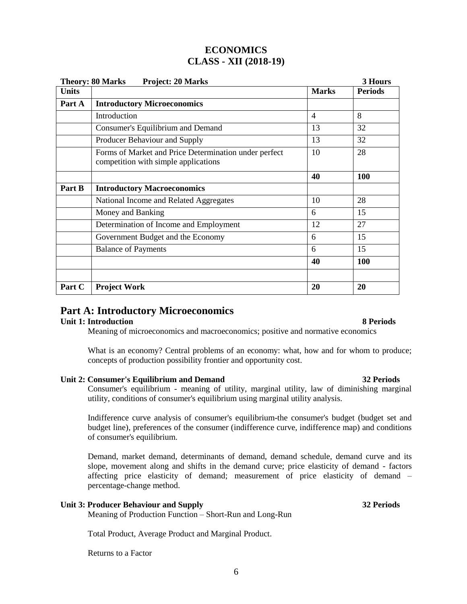## **ECONOMICS CLASS - XII (2018-19)**

| <b>Theory: 80 Marks</b><br><b>Project: 20 Marks</b><br>3 Hours |                                                                                               |                |                |  |
|----------------------------------------------------------------|-----------------------------------------------------------------------------------------------|----------------|----------------|--|
| <b>Units</b>                                                   |                                                                                               | <b>Marks</b>   | <b>Periods</b> |  |
| Part A                                                         | <b>Introductory Microeconomics</b>                                                            |                |                |  |
|                                                                | Introduction                                                                                  | $\overline{4}$ | 8              |  |
|                                                                | Consumer's Equilibrium and Demand                                                             | 13             | 32             |  |
|                                                                | Producer Behaviour and Supply                                                                 | 13             | 32             |  |
|                                                                | Forms of Market and Price Determination under perfect<br>competition with simple applications | 10             | 28             |  |
|                                                                |                                                                                               | 40             | 100            |  |
| Part B                                                         | <b>Introductory Macroeconomics</b>                                                            |                |                |  |
|                                                                | National Income and Related Aggregates                                                        | 10             | 28             |  |
|                                                                | Money and Banking                                                                             | 6              | 15             |  |
|                                                                | Determination of Income and Employment                                                        | 12             | 27             |  |
|                                                                | Government Budget and the Economy                                                             | 6              | 15             |  |
|                                                                | <b>Balance of Payments</b>                                                                    | 6              | 15             |  |
|                                                                |                                                                                               | 40             | 100            |  |
|                                                                |                                                                                               |                |                |  |
| Part C                                                         | <b>Project Work</b>                                                                           | 20             | 20             |  |

## **Part A: Introductory Microeconomics**

### **Unit 1: Introduction 8 Periods**

Meaning of microeconomics and macroeconomics; positive and normative economics

What is an economy? Central problems of an economy: what, how and for whom to produce; concepts of production possibility frontier and opportunity cost.

### **Unit 2: Consumer's Equilibrium and Demand 32 Periods**

Consumer's equilibrium - meaning of utility, marginal utility, law of diminishing marginal utility, conditions of consumer's equilibrium using marginal utility analysis.

Indifference curve analysis of consumer's equilibrium-the consumer's budget (budget set and budget line), preferences of the consumer (indifference curve, indifference map) and conditions of consumer's equilibrium.

Demand, market demand, determinants of demand, demand schedule, demand curve and its slope, movement along and shifts in the demand curve; price elasticity of demand - factors affecting price elasticity of demand; measurement of price elasticity of demand – percentage-change method.

### **Unit 3: Producer Behaviour and Supply 32 Periods**

Meaning of Production Function – Short-Run and Long-Run

Total Product, Average Product and Marginal Product.

Returns to a Factor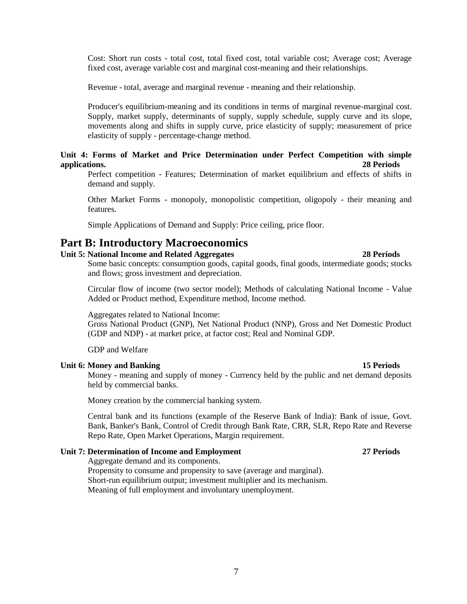Cost: Short run costs - total cost, total fixed cost, total variable cost; Average cost; Average fixed cost, average variable cost and marginal cost-meaning and their relationships.

Revenue - total, average and marginal revenue - meaning and their relationship.

Producer's equilibrium-meaning and its conditions in terms of marginal revenue-marginal cost. Supply, market supply, determinants of supply, supply schedule, supply curve and its slope, movements along and shifts in supply curve, price elasticity of supply; measurement of price elasticity of supply - percentage-change method.

### **Unit 4: Forms of Market and Price Determination under Perfect Competition with simple applications. 28 Periods**

Perfect competition - Features; Determination of market equilibrium and effects of shifts in demand and supply.

Other Market Forms - monopoly, monopolistic competition, oligopoly - their meaning and features.

Simple Applications of Demand and Supply: Price ceiling, price floor.

## **Part B: Introductory Macroeconomics**

### **Unit 5: National Income and Related Aggregates 28 Periods**

Some basic concepts: consumption goods, capital goods, final goods, intermediate goods; stocks and flows; gross investment and depreciation.

Circular flow of income (two sector model); Methods of calculating National Income - Value Added or Product method, Expenditure method, Income method.

Aggregates related to National Income:

Gross National Product (GNP), Net National Product (NNP), Gross and Net Domestic Product (GDP and NDP) - at market price, at factor cost; Real and Nominal GDP.

GDP and Welfare

### **Unit 6: Money and Banking 15 Periods**

Money - meaning and supply of money - Currency held by the public and net demand deposits held by commercial banks.

Money creation by the commercial banking system.

Central bank and its functions (example of the Reserve Bank of India): Bank of issue, Govt. Bank, Banker's Bank, Control of Credit through Bank Rate, CRR, SLR, Repo Rate and Reverse Repo Rate, Open Market Operations, Margin requirement.

### **Unit 7: Determination of Income and Employment 27 Periods**

Aggregate demand and its components.

Propensity to consume and propensity to save (average and marginal). Short-run equilibrium output; investment multiplier and its mechanism. Meaning of full employment and involuntary unemployment.

### 7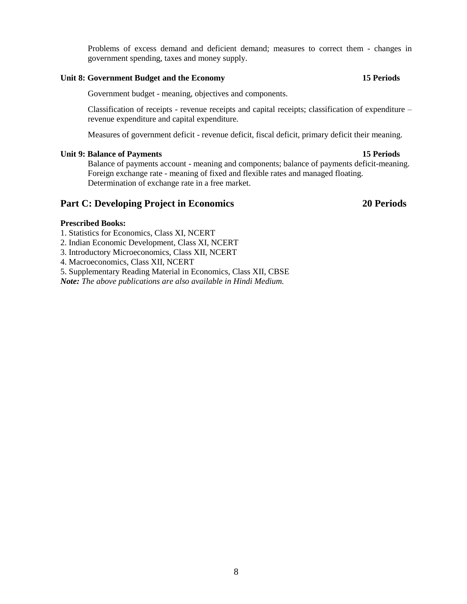Problems of excess demand and deficient demand; measures to correct them - changes in government spending, taxes and money supply.

### **Unit 8: Government Budget and the Economy 15 Periods**

Government budget - meaning, objectives and components.

Classification of receipts - revenue receipts and capital receipts; classification of expenditure – revenue expenditure and capital expenditure.

Measures of government deficit - revenue deficit, fiscal deficit, primary deficit their meaning.

### **Unit 9: Balance of Payments 15 Periods**

Balance of payments account - meaning and components; balance of payments deficit-meaning. Foreign exchange rate - meaning of fixed and flexible rates and managed floating. Determination of exchange rate in a free market.

## **Part C: Developing Project in Economics 20 Periods**

### **Prescribed Books:**

- 1. Statistics for Economics, Class XI, NCERT
- 2. Indian Economic Development, Class XI, NCERT
- 3. Introductory Microeconomics, Class XII, NCERT
- 4. Macroeconomics, Class XII, NCERT
- 5. Supplementary Reading Material in Economics, Class XII, CBSE

*Note: The above publications are also available in Hindi Medium.*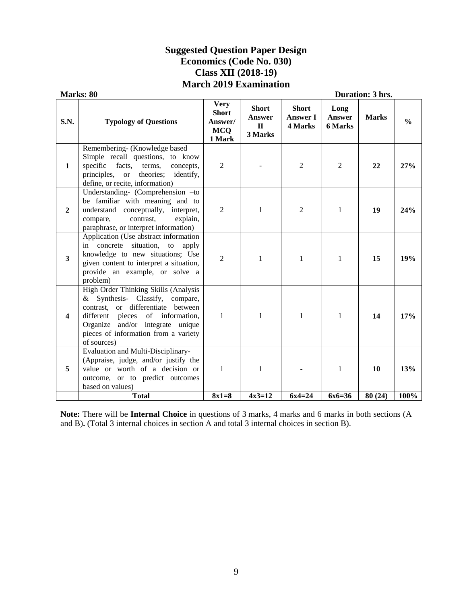## **Suggested Question Paper Design Economics (Code No. 030) Class XII (2018-19) March 2019 Examination**

|                         | Marks: 80                                                                                                                                                                                                                                          |                                                                |                                                          |                                            |                                         | Duration: 3 hrs. |               |
|-------------------------|----------------------------------------------------------------------------------------------------------------------------------------------------------------------------------------------------------------------------------------------------|----------------------------------------------------------------|----------------------------------------------------------|--------------------------------------------|-----------------------------------------|------------------|---------------|
| <b>S.N.</b>             | <b>Typology of Questions</b>                                                                                                                                                                                                                       | <b>Very</b><br><b>Short</b><br>Answer/<br><b>MCQ</b><br>1 Mark | <b>Short</b><br><b>Answer</b><br>$\mathbf{I}$<br>3 Marks | <b>Short</b><br><b>Answer I</b><br>4 Marks | Long<br><b>Answer</b><br><b>6 Marks</b> | <b>Marks</b>     | $\frac{0}{0}$ |
| 1                       | Remembering- (Knowledge based<br>Simple recall questions, to know<br>specific facts,<br>terms,<br>concepts,<br>theories;<br>principles, or<br>identify,<br>define, or recite, information)                                                         | $\overline{2}$                                                 |                                                          | 2                                          | 2                                       | 22               | 27%           |
| $\overline{2}$          | Understanding- (Comprehension -to<br>be familiar with meaning and to<br>understand conceptually, interpret,<br>compare,<br>contrast,<br>explain,<br>paraphrase, or interpret information)                                                          | $\overline{2}$                                                 | 1                                                        | $\overline{2}$                             | $\mathbf{1}$                            | 19               | 24%           |
| $\mathbf{3}$            | Application (Use abstract information<br>in concrete situation,<br>$\mathop{\mathrm{to}}$<br>apply<br>knowledge to new situations; Use<br>given content to interpret a situation,<br>provide an example, or solve a<br>problem)                    | $\mathfrak{D}$                                                 | 1                                                        | 1                                          | 1                                       | 15               | 19%           |
| $\overline{\mathbf{4}}$ | High Order Thinking Skills (Analysis<br>& Synthesis- Classify, compare,<br>contrast, or differentiate between<br>different<br>of information,<br>pieces<br>Organize and/or integrate unique<br>pieces of information from a variety<br>of sources) | 1                                                              | $\mathbf{1}$                                             | 1                                          | 1                                       | 14               | 17%           |
| 5                       | Evaluation and Multi-Disciplinary-<br>(Appraise, judge, and/or justify the<br>value or worth of a decision or<br>outcome, or to predict outcomes<br>based on values)                                                                               | $\mathbf{1}$                                                   | $\mathbf{1}$                                             |                                            | 1                                       | 10               | 13%           |
|                         | <b>Total</b>                                                                                                                                                                                                                                       | $8x1=8$                                                        | $4x3=12$                                                 | $6x4=24$                                   | $6x6=36$                                | 80(24)           | 100%          |

**Note:** There will be **Internal Choice** in questions of 3 marks, 4 marks and 6 marks in both sections (A and B)**.** (Total 3 internal choices in section A and total 3 internal choices in section B).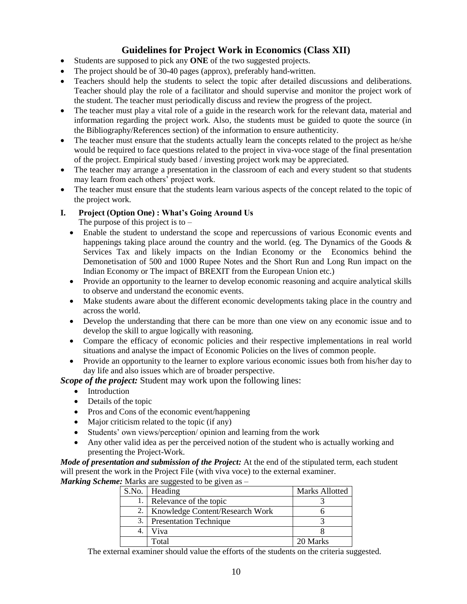## **Guidelines for Project Work in Economics (Class XII)**

- Students are supposed to pick any **ONE** of the two suggested projects.
- The project should be of 30-40 pages (approx), preferably hand-written.
- Teachers should help the students to select the topic after detailed discussions and deliberations. Teacher should play the role of a facilitator and should supervise and monitor the project work of the student. The teacher must periodically discuss and review the progress of the project.
- The teacher must play a vital role of a guide in the research work for the relevant data, material and information regarding the project work. Also, the students must be guided to quote the source (in the Bibliography/References section) of the information to ensure authenticity.
- The teacher must ensure that the students actually learn the concepts related to the project as he/she would be required to face questions related to the project in viva-voce stage of the final presentation of the project. Empirical study based / investing project work may be appreciated.
- The teacher may arrange a presentation in the classroom of each and every student so that students may learn from each others' project work.
- The teacher must ensure that the students learn various aspects of the concept related to the topic of the project work.

### **I. Project (Option One) : What's Going Around Us**

The purpose of this project is to  $-$ 

- Enable the student to understand the scope and repercussions of various Economic events and happenings taking place around the country and the world. (eg. The Dynamics of the Goods  $\&$ Services Tax and likely impacts on the Indian Economy or the Economics behind the Demonetisation of 500 and 1000 Rupee Notes and the Short Run and Long Run impact on the Indian Economy or The impact of BREXIT from the European Union etc.)
- Provide an opportunity to the learner to develop economic reasoning and acquire analytical skills to observe and understand the economic events.
- Make students aware about the different economic developments taking place in the country and across the world.
- Develop the understanding that there can be more than one view on any economic issue and to develop the skill to argue logically with reasoning.
- Compare the efficacy of economic policies and their respective implementations in real world situations and analyse the impact of Economic Policies on the lives of common people.
- Provide an opportunity to the learner to explore various economic issues both from his/her day to day life and also issues which are of broader perspective.

### *Scope of the project:* Student may work upon the following lines:

- Introduction
- Details of the topic
- Pros and Cons of the economic event/happening
- Major criticism related to the topic (if any)
- Students' own views/perception/ opinion and learning from the work
- Any other valid idea as per the perceived notion of the student who is actually working and presenting the Project-Work.

*Mode of presentation and submission of the Project:* At the end of the stipulated term, each student will present the work in the Project File (with viva voce) to the external examiner.

*Marking Scheme:* Marks are suggested to be given as –

| S.No. Heading                        | Marks Allotted |
|--------------------------------------|----------------|
| 1. Relevance of the topic            |                |
| 2.   Knowledge Content/Research Work |                |
| 3. Presentation Technique            |                |
| Viva                                 |                |
| Total                                | 20 Marks       |

The external examiner should value the efforts of the students on the criteria suggested.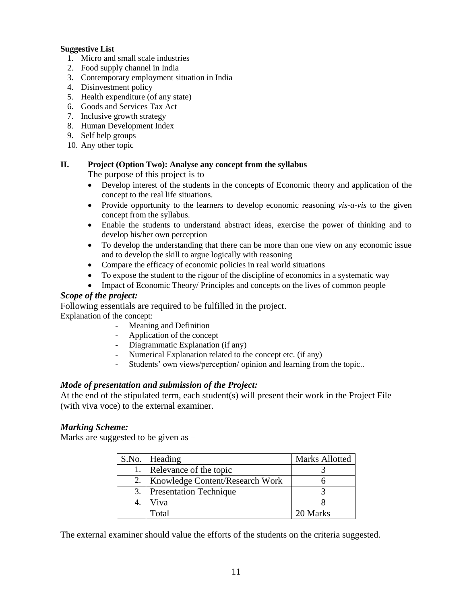### **Suggestive List**

- 1. Micro and small scale industries
- 2. Food supply channel in India
- 3. Contemporary employment situation in India
- 4. Disinvestment policy
- 5. Health expenditure (of any state)
- 6. Goods and Services Tax Act
- 7. Inclusive growth strategy
- 8. Human Development Index
- 9. Self help groups
- 10. Any other topic

### **II. Project (Option Two): Analyse any concept from the syllabus**

The purpose of this project is to  $-$ 

- Develop interest of the students in the concepts of Economic theory and application of the concept to the real life situations.
- Provide opportunity to the learners to develop economic reasoning *vis-a-vis* to the given concept from the syllabus.
- Enable the students to understand abstract ideas, exercise the power of thinking and to develop his/her own perception
- To develop the understanding that there can be more than one view on any economic issue and to develop the skill to argue logically with reasoning
- Compare the efficacy of economic policies in real world situations
- To expose the student to the rigour of the discipline of economics in a systematic way
- Impact of Economic Theory/ Principles and concepts on the lives of common people

### *Scope of the project:*

Following essentials are required to be fulfilled in the project.

Explanation of the concept:

- Meaning and Definition
- Application of the concept
- Diagrammatic Explanation (if any)
- Numerical Explanation related to the concept etc. (if any)
- Students' own views/perception/ opinion and learning from the topic..

### *Mode of presentation and submission of the Project:*

At the end of the stipulated term, each student(s) will present their work in the Project File (with viva voce) to the external examiner.

### *Marking Scheme:*

Marks are suggested to be given as –

|    | S.No.   Heading                 | <b>Marks Allotted</b> |
|----|---------------------------------|-----------------------|
|    | 1. Relevance of the topic       |                       |
| 2. | Knowledge Content/Research Work |                       |
|    | 3. Presentation Technique       |                       |
|    | Viva                            |                       |
|    | Total                           | 20 Marks              |

The external examiner should value the efforts of the students on the criteria suggested.